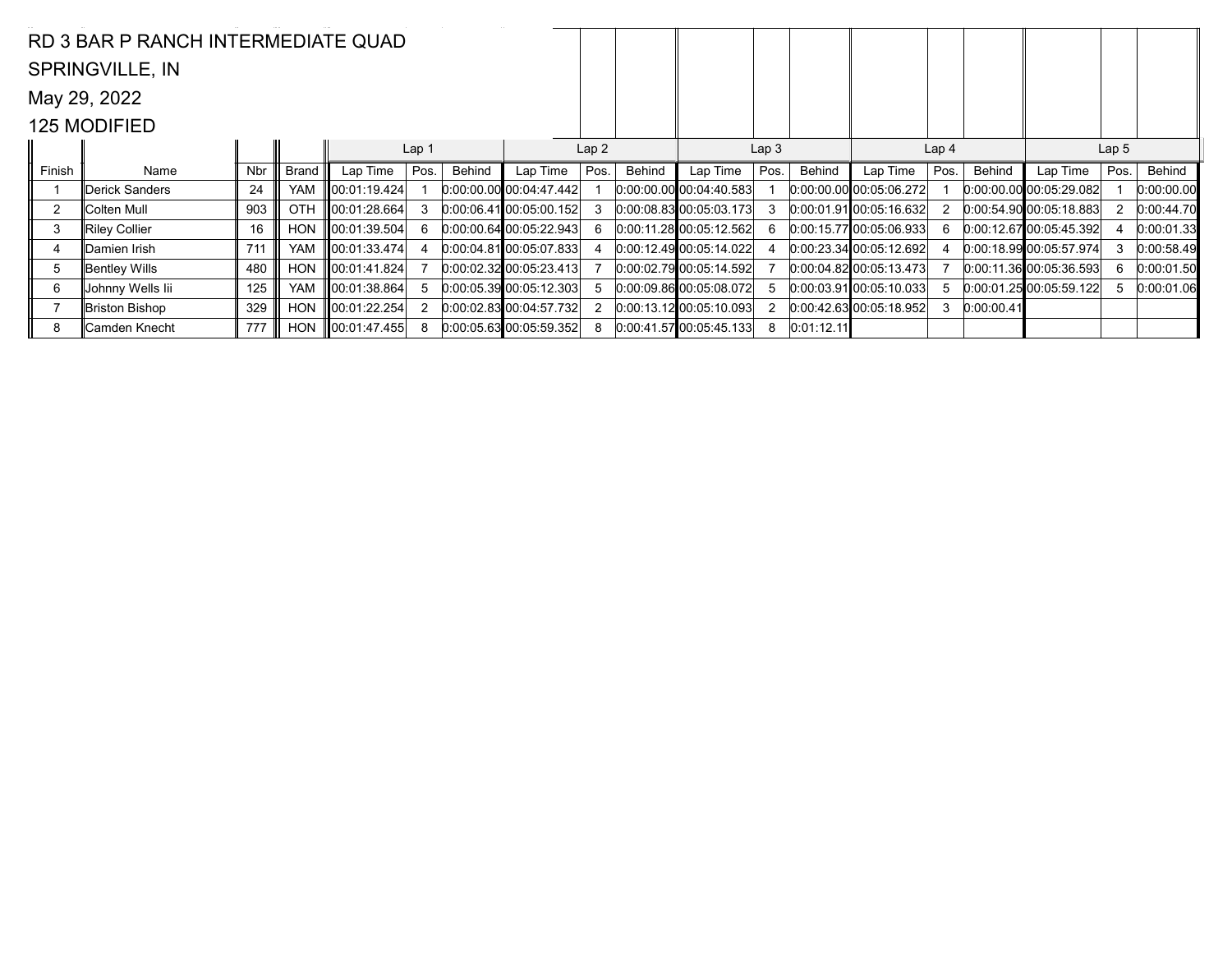|                | RD 3 BAR P RANCH INTERMEDIATE QUAD |     |            |                    |                  |        |                                |      |        |                             |                  |            |                             |                  |            |                                 |                  |            |
|----------------|------------------------------------|-----|------------|--------------------|------------------|--------|--------------------------------|------|--------|-----------------------------|------------------|------------|-----------------------------|------------------|------------|---------------------------------|------------------|------------|
|                | <b>SPRINGVILLE, IN</b>             |     |            |                    |                  |        |                                |      |        |                             |                  |            |                             |                  |            |                                 |                  |            |
|                | May 29, 2022                       |     |            |                    |                  |        |                                |      |        |                             |                  |            |                             |                  |            |                                 |                  |            |
|                | <b>125 MODIFIED</b>                |     |            |                    |                  |        |                                |      |        |                             |                  |            |                             |                  |            |                                 |                  |            |
|                |                                    |     |            |                    | Lap <sub>1</sub> |        |                                | Lap2 |        |                             | Lap <sub>3</sub> |            |                             | Lap <sub>4</sub> |            |                                 | Lap <sub>5</sub> |            |
| Finish         | Name                               | Nbr | Brand      | Lap Time           | Pos.             | Behind | Lap Time                       | Pos. | Behind | Lap Time                    | Pos.             | Behind     | Lap Time                    | Pos.             | Behind     | Lap Time                        | Pos.             | Behind     |
|                | ∥Derick Sanders                    | 24  | <b>YAM</b> | ∥00:01:19.424      |                  |        | $0.00.00$ 00 00 04:47.442      |      |        | $0:00:00.00$ 00:04:40.583   |                  |            | $0:00:00.00$ 00:05:06.272   |                  |            | 0.00.00 00 00 05:29.082         |                  | 0:00:00.00 |
| $\overline{2}$ | ∥Colten Mull                       | 903 | <b>OTH</b> | $\ 00:01:28.664\ $ | 3                |        | $[0:00:06.41]$ 00:05:00.152    |      |        | $0:00:08.83$ 00:05:03.173   |                  |            | $0.00.01.91$ 00:05:16.632   | 2                |            | 0:00:54.90 00:05:18.883         |                  | 0:00:44.70 |
| 3              | Riley Collier                      | 16  | <b>HON</b> | 00:01:39.504       | 6                |        | 0.00.00.64100.05.22.943        |      |        | $[0.00:11.28]$ 00:05:12.562 |                  |            | $[0.00:15.77]$ 00:05:06.933 | 6                |            | $[0.00:12.67]$ 00:05:45.392     |                  | 0:00:01.33 |
| 4              | ∥Damien Irish                      | 711 | <b>YAM</b> | 00:01:33.474       | 4                |        | $0.00:04.81$ 00:05:07.833      |      |        | $[0.00.12.49]$ 00:05:14.022 |                  |            | 0.00.23.34100.05.12.692     |                  |            | 0:00:18.9900:05:57.974          |                  | 0:00:58.49 |
| 5              | Bentley Wills                      | 480 | <b>HON</b> | 00:01:41.824       |                  |        | [0.00.02.32, 00.05.23.413]     |      |        | 0:00:02.7900:05:14.592      |                  |            | $0:00:04.82$ 00:05:13.473   |                  |            | [0.00:11.36]00:05:36.593]       | 6                | 0:00:01.50 |
| 6              | Johnny Wells Iii                   | 125 | <b>YAM</b> | 00:01:38.864       | 5                |        | $[0.00.05.39]$ $[0.05.12.303]$ |      |        | 0.00.09.86 00.05.08.072     |                  |            | $0:00:03.91$ 00:05:10.033   | 5.               |            | $0.00$ :01.25 00:05:59.122 $\,$ |                  | 0:00:01.06 |
|                | Briston Bishop                     | 329 | <b>HON</b> | ∥00:01:22.254 $ $  | 2                |        | $[0.00:02.83]$ 00:04:57.732    |      |        | $[0:00:13.12]$ 00:05:10.093 |                  |            | 0.00:42.63[00:05:18.952]    | 3                | 0:00:00.41 |                                 |                  |            |
| 8              | ∥Camden Knecht                     | 777 | HON        | 00:01:47.455       | 8                |        | 0.00.05.63 00.05.59.352        |      |        | $[0.00.41.57]$ 00:05:45.133 |                  | 0:01:12.11 |                             |                  |            |                                 |                  |            |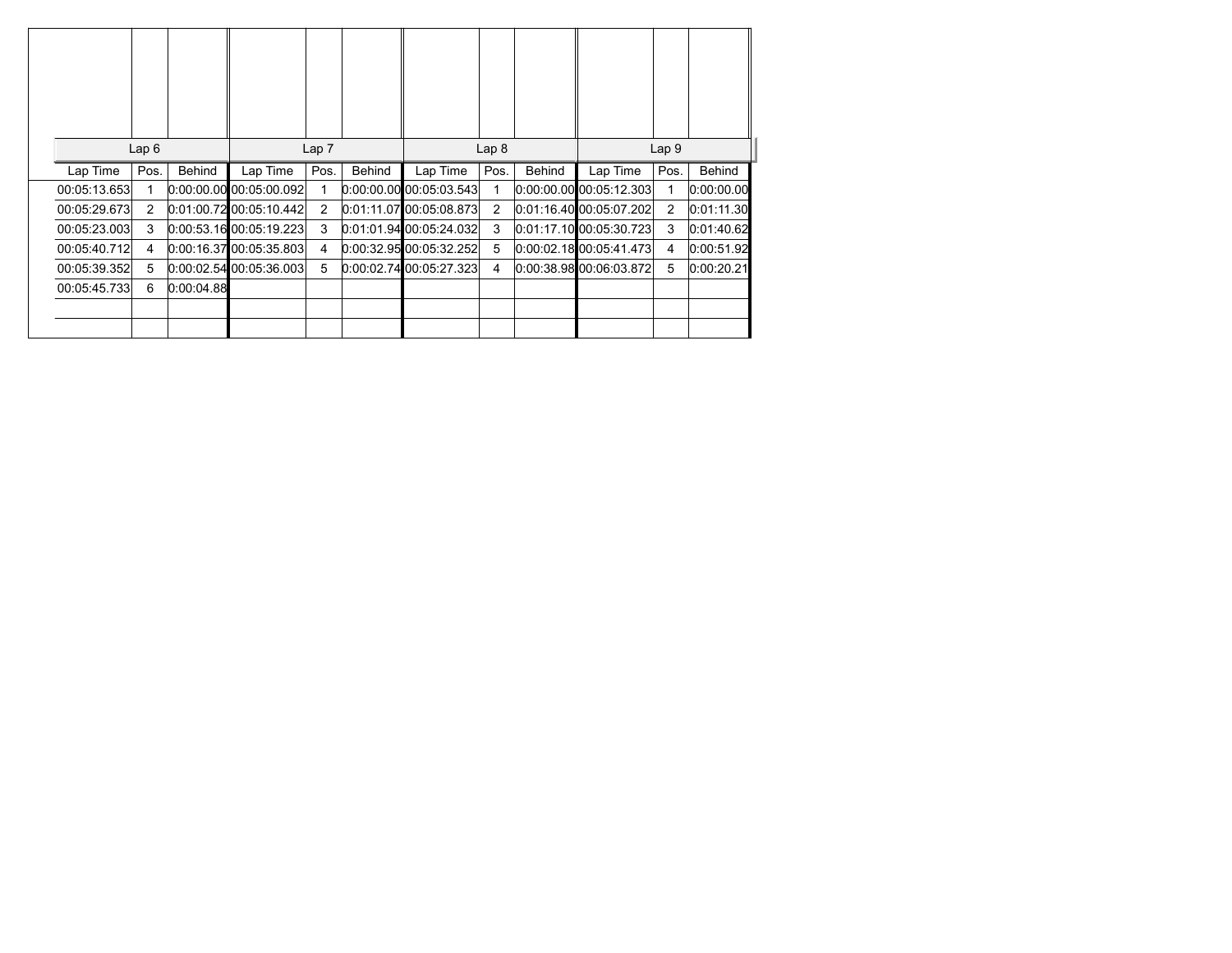|              | Lap6           |            |                             | Lap <sub>7</sub> |        |                                 | Lap 8 |        |                           | Lap <sub>9</sub> |               |
|--------------|----------------|------------|-----------------------------|------------------|--------|---------------------------------|-------|--------|---------------------------|------------------|---------------|
| Lap Time     | Pos.           | Behind     | Lap Time                    | Pos.             | Behind | Lap Time                        | Pos.  | Behind | Lap Time                  | Pos.             | <b>Behind</b> |
| 00:05:13.653 |                |            | 0.00.00.00 00.05.00.092     |                  |        | $[0:00:00:00]$ $[00:05:03.543]$ |       |        | 0.00.00.00 00.05.12.303   |                  | 0:00:00.00    |
| 00:05:29.673 | 2              |            | $0:01:00.72$ 00:05:10.442   | 2                |        | 0.01:11.07 00.05.08.873         | 2     |        | 0.01:16.40 00:05:07.202   | 2                | 0:01:11.30    |
| 00:05:23.003 | 3              |            | 0.00.53.1600.05.19.223      | 3                |        | 0.01.01.94 00.05.24.032         | 3     |        | [0.01:17.10]00:05:30.723] | 3                | 0.01.40.62    |
| 00:05:40.712 | $\overline{4}$ |            | 0.00:16.3700:05:35.803      | 4                |        | 0:00:32.95 00:05:32.252         | 5     |        | [0.00:02.18]00:05:41.473] | 4                | 0:00:51.92    |
| 00:05:39.352 | 5              |            | $[0.00.02.54]$ 00:05:36.003 | 5                |        | $[0:00:02.74]$ 00:05:27.323     | 4     |        | 0.00:38.98 00:06:03.872   | 5                | 0:00:20.21    |
| 00:05:45.733 | 6              | 0:00:04.88 |                             |                  |        |                                 |       |        |                           |                  |               |
|              |                |            |                             |                  |        |                                 |       |        |                           |                  |               |
|              |                |            |                             |                  |        |                                 |       |        |                           |                  |               |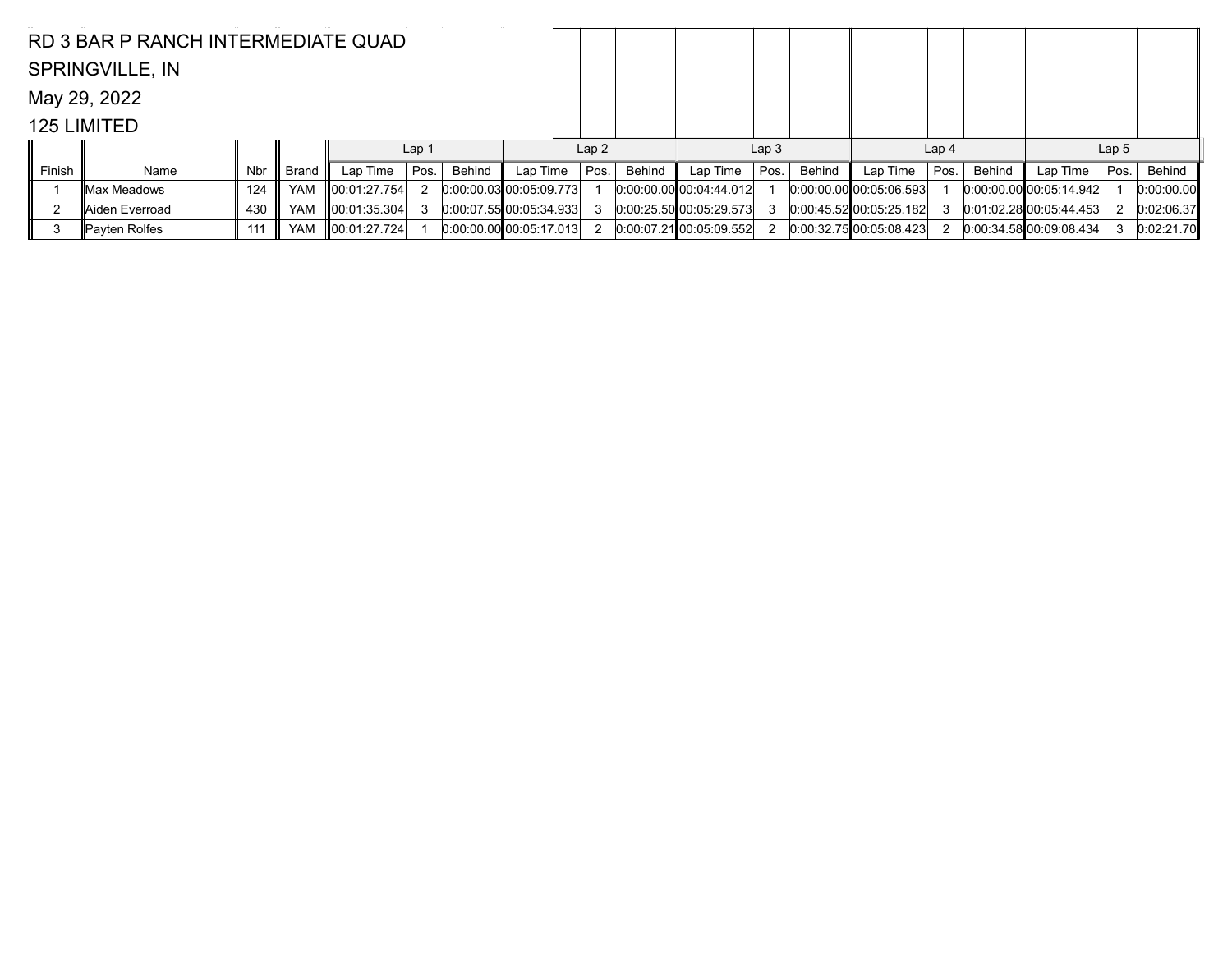|        | RD 3 BAR P RANCH INTERMEDIATE QUAD |     |            |                    |                  |        |                           |      |        |                             |                  |        |                         |                  |        |                             |                  |            |
|--------|------------------------------------|-----|------------|--------------------|------------------|--------|---------------------------|------|--------|-----------------------------|------------------|--------|-------------------------|------------------|--------|-----------------------------|------------------|------------|
|        | <b>SPRINGVILLE, IN</b>             |     |            |                    |                  |        |                           |      |        |                             |                  |        |                         |                  |        |                             |                  |            |
|        | May 29, 2022                       |     |            |                    |                  |        |                           |      |        |                             |                  |        |                         |                  |        |                             |                  |            |
|        | 125 LIMITED                        |     |            |                    |                  |        |                           |      |        |                             |                  |        |                         |                  |        |                             |                  |            |
|        |                                    |     |            |                    | Lap <sub>1</sub> |        |                           | Lap2 |        |                             | Lap <sub>3</sub> |        |                         | Lap <sub>4</sub> |        |                             | Lap <sub>5</sub> |            |
| Finish | Name                               | Nbr | Brand      | Lap Time $ $ Pos.  |                  | Behind | Lap Time                  | Pos. | Behind | Lap Time                    | Pos.             | Behind | Lap Time                | Pos.             | Behind | Lap Time                    | Pos.             | Behind     |
|        | Max Meadows                        | 124 | <b>YAM</b> | $\ 00:01:27.754\ $ |                  |        | $0:00:00.03$ 00:05:09.773 |      |        | $[0.00.00.00]$ 00:04:44.012 |                  |        | 0:00:00.00 00:05:06.593 |                  |        | $[0.00:00.00]$ 00:05:14.942 |                  | 0:00:00.00 |
|        | ∥Aiden Everroad                    | 430 | YAM        | $\ 00:01:35.304\ $ |                  |        | 0.00.07.55000.0534.933    |      |        | 0:00:25.5000:05:29.573      |                  |        | 0:00:45.5200:05:25.182  |                  |        | 0.01:02.28 00:05:44.453     |                  | 0:02:06.37 |
| 3      | ∥Payten Rolfes                     | 111 | <b>YAM</b> | $\ 00:01:27.724\ $ |                  |        | 0.00.00.00 00.05:17.013   |      |        | $0:00:07.21$ 00:05:09.552   |                  |        | 0.00.32.7500.05.08.423  |                  |        | 0.00.34.5800.09.08.434      |                  | 0:02:21.70 |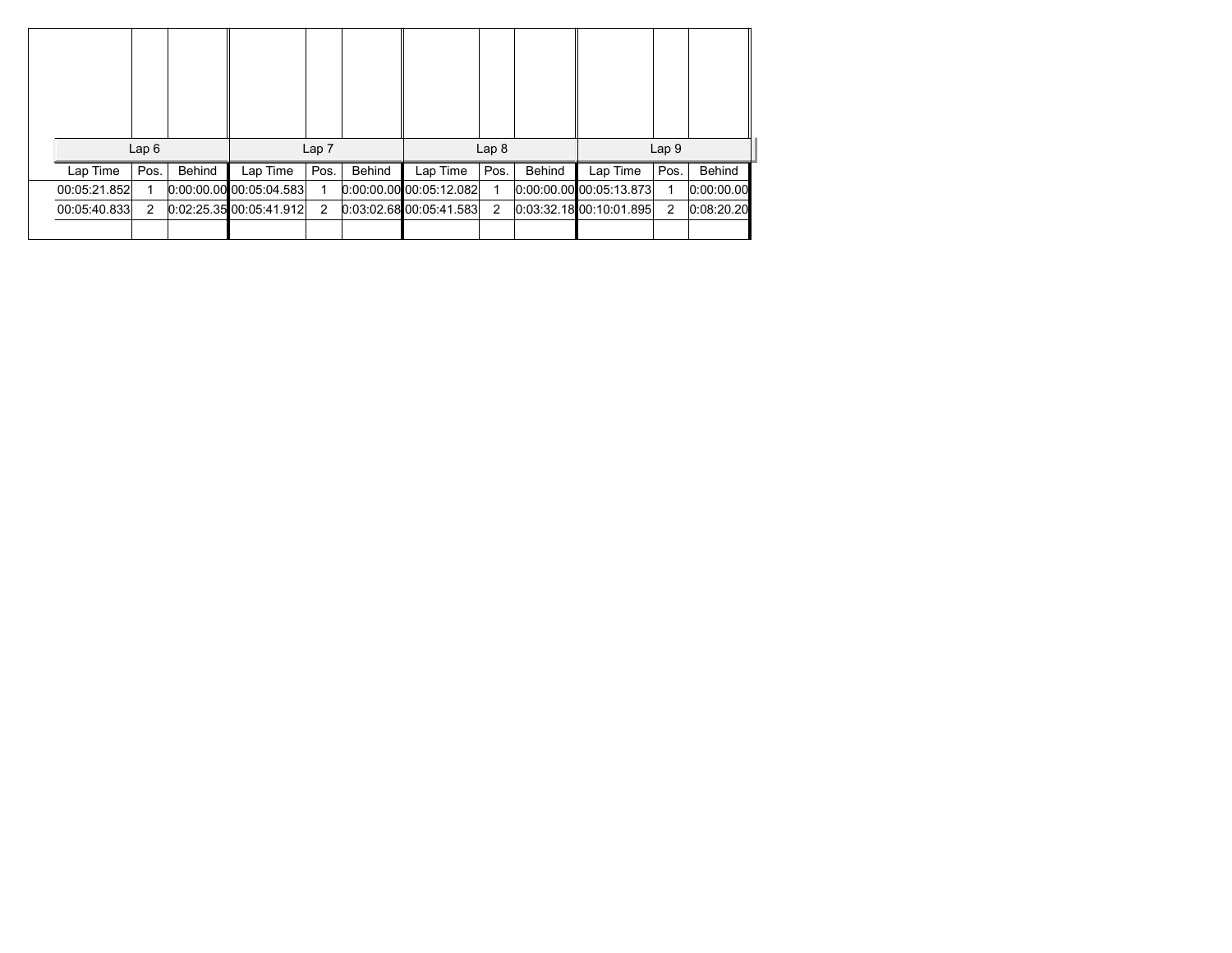|              | Lap6 |        |                           | Lap <sub>7</sub> |        |                           | Lap <sub>8</sub> |        |                         | Lap <sub>9</sub> |            |
|--------------|------|--------|---------------------------|------------------|--------|---------------------------|------------------|--------|-------------------------|------------------|------------|
| Lap Time     | Pos. | Behind | Lap Time                  | Pos.             | Behind | Lap Time                  | Pos.             | Behind | Lap Time                | Pos.             | Behind     |
| 00:05:21.852 |      |        | $0:00:00.00$ 00:05:04 583 |                  |        | $0:00:00.00$ 00:05:12.082 |                  |        | 0.00:00.00 00:05:13.873 |                  | 0:00:00.00 |
| 00:05:40.833 | 2    |        | 0.02.25.3500.05.41.912    | 2                |        | $0.03.02.68$ 00.05:41.583 | 2                |        | 0.03.32.18 00.10.01.895 | 2                | 0:08:20.20 |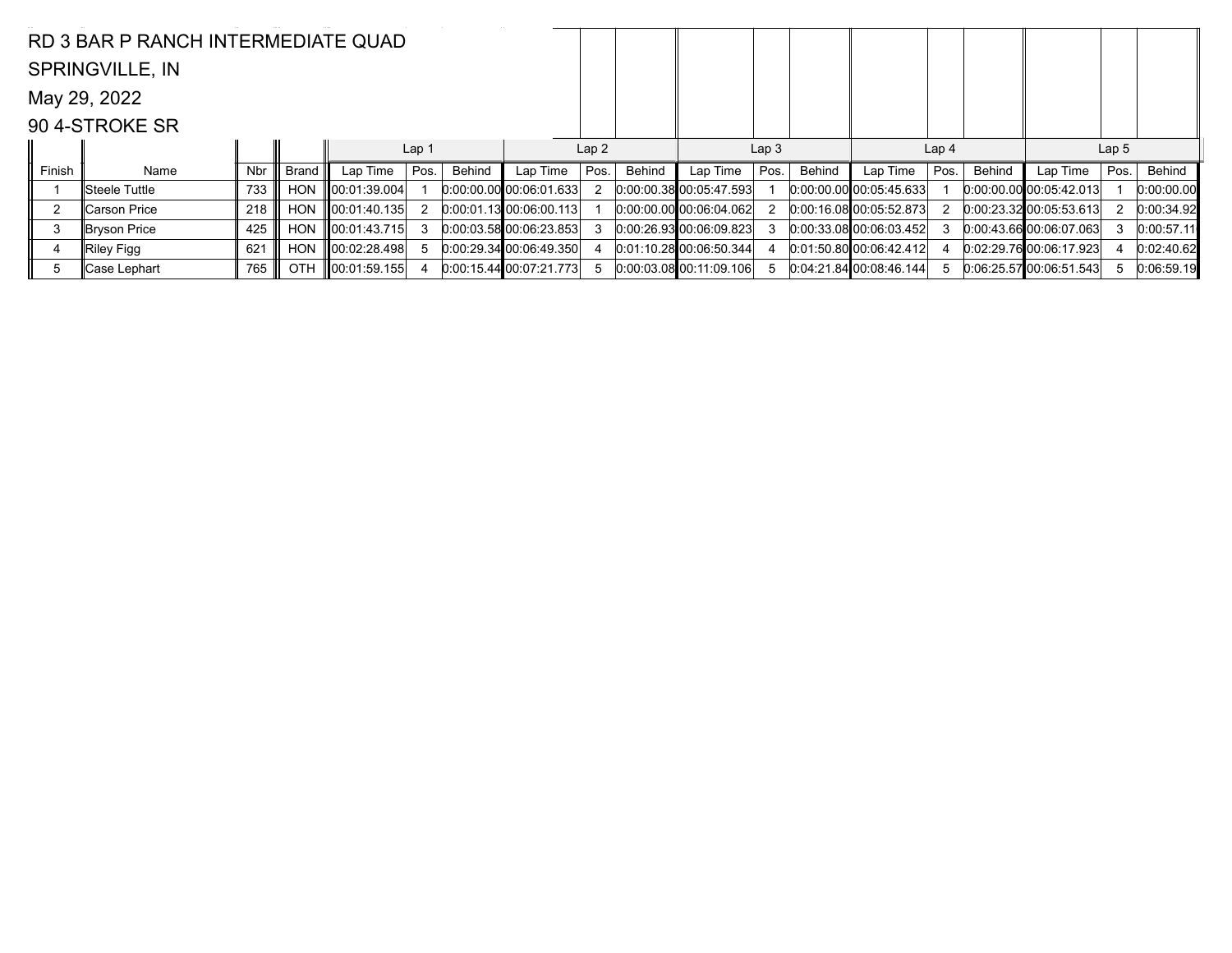|        | RD 3 BAR P RANCH INTERMEDIATE QUAD |     |            |                    |                  |               |                             |      |               |                         |                  |        |                         |                  |               |                                |                  |            |
|--------|------------------------------------|-----|------------|--------------------|------------------|---------------|-----------------------------|------|---------------|-------------------------|------------------|--------|-------------------------|------------------|---------------|--------------------------------|------------------|------------|
|        | <b>SPRINGVILLE, IN</b>             |     |            |                    |                  |               |                             |      |               |                         |                  |        |                         |                  |               |                                |                  |            |
|        | May 29, 2022                       |     |            |                    |                  |               |                             |      |               |                         |                  |        |                         |                  |               |                                |                  |            |
|        | 90 4-STROKE SR                     |     |            |                    |                  |               |                             |      |               |                         |                  |        |                         |                  |               |                                |                  |            |
|        |                                    |     |            |                    | Lap <sub>1</sub> |               |                             | Lap2 |               |                         | Lap <sub>3</sub> |        |                         | Lap <sub>4</sub> |               |                                | Lap <sub>5</sub> |            |
| Finish | Name                               | Nbr | Brand      | Lap Time           | Pos.             | <b>Behind</b> | Lap Time                    | Pos. | <b>Behind</b> | Lap Time                | Pos.             | Behind | Lap Time                | Pos.             | <b>Behind</b> | Lap Time                       | Pos.             | Behind     |
|        | ∥Steele Tuttle                     | 733 | <b>HON</b> | $\ 00:01:39.004\ $ |                  |               | 0.00.00.00 00.06.01.633     |      |               | 0:00.00.38 00:05:47.593 |                  |        | 0.00.00.00 00.05.45.633 |                  |               | $[0.00:00.00]$ $[0.05:42.013]$ |                  | 0:00:00.00 |
|        | ¶Carson Price                      | 218 | <b>HON</b> | $\ 00:01:40.135\ $ | 2                |               | 0:00:01.13 00:06:00.113     |      |               | 0.00.00.00 00.06.04.062 |                  |        | 0.00:16.0800:05:52.873  |                  |               | $[0:00:23.32]$ 00:05:53.613    |                  | 0:00:34.92 |
| 3      | ∥Bryson Price                      | 425 | <b>HON</b> | $\ 00:01:43.715\ $ |                  |               | $[0.00:03.58]$ 00:06:23.853 |      |               | 0.00.26.93 00.06.09.823 |                  |        | 0.00.33.0800.06.03.452  |                  |               | 0.00:43.6600:06:07.063         |                  | 0:00:57.11 |
| 4      | $\parallel$ Riley Figg             | 621 | <b>HON</b> | 00:02:28.498       |                  |               | 0.00:29.34 00:06:49.350     |      |               | 0.01:10.28 00.06:50.344 |                  |        | 0.01:50.80 00:06:42.412 |                  |               | 0.02:29.7600:06:17.923         |                  | 0.02:40.62 |
| 5      | ∥Case Lephart                      | 765 | OTH        | $\ 00:01:59.155\ $ |                  |               | 0:00:15.44100:07:21.773     |      |               | 0.00.03.08100.11.09.106 |                  |        | 0.04.21.84100.08.46.144 |                  |               | 0.06:25.5700:06:51.543         | 5                | 0:06:59.19 |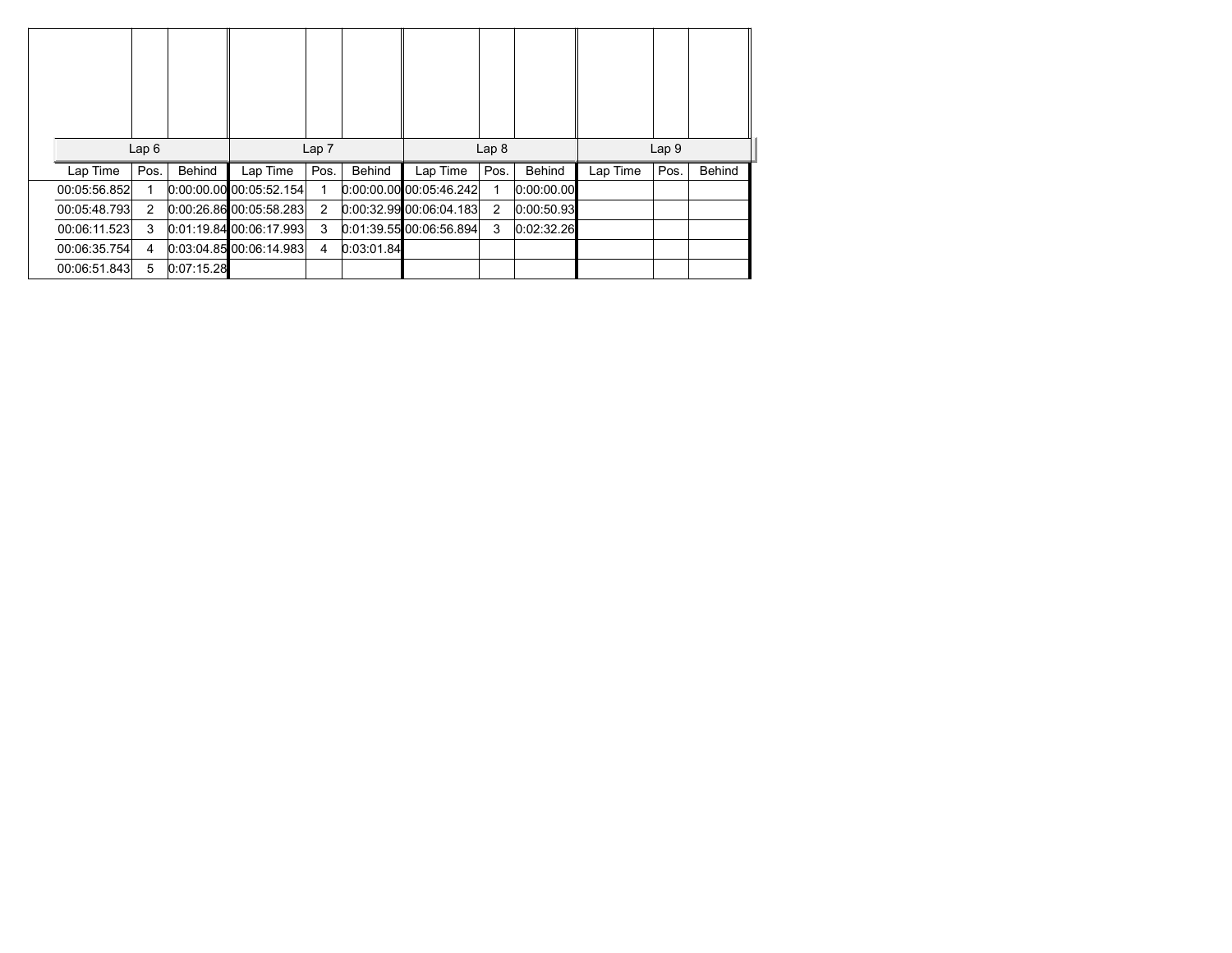|              | Lap6 |            |                             | Lap <sub>7</sub> |            |                             | Lap <sub>8</sub> |               |          | Lap <sub>9</sub> |               |
|--------------|------|------------|-----------------------------|------------------|------------|-----------------------------|------------------|---------------|----------|------------------|---------------|
| Lap Time     | Pos. | Behind     | Lap Time                    | Pos.             | Behind     | Lap Time                    | Pos.             | <b>Behind</b> | Lap Time | Pos.             | <b>Behind</b> |
| 00:05:56.852 | 1    |            | 0.00.00.0000000552.154      |                  |            | $[0.00.00.00]$ 00:05:46.242 |                  | 0:00:00.00    |          |                  |               |
| 00:05:48.793 | 2    |            | 0.00.26.86000.05.58.283     | 2                |            | 0.00:32.99 00:06.04.183     | $\overline{2}$   | 0:00:50.93    |          |                  |               |
| 00:06:11.523 | 3    |            | $[0.01:19.84]$ 00:06:17.993 | 3                |            | 0:01:39.5500:06:56.894      | 3                | 0:02:32.26    |          |                  |               |
| 00:06:35.754 | 4    |            | 0.03.04.8500.0614.983       | 4                | 0:03:01.84 |                             |                  |               |          |                  |               |
| 00:06:51.843 | 5    | 0:07:15.28 |                             |                  |            |                             |                  |               |          |                  |               |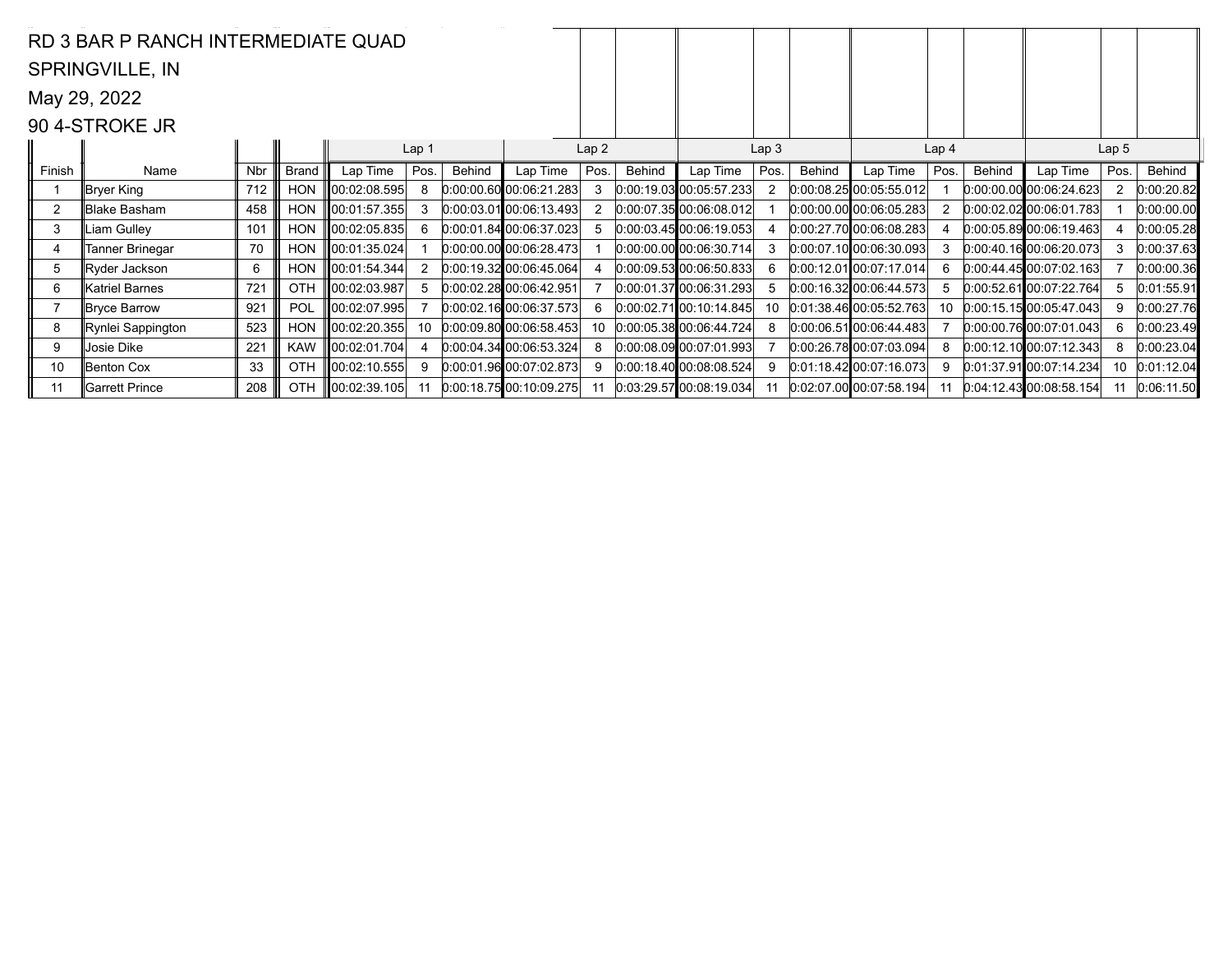|                | RD 3 BAR P RANCH INTERMEDIATE QUAD |     |              |               |                  |        |                             |      |        |                                 |                  |        |                           |                  |        |                             |                  |               |
|----------------|------------------------------------|-----|--------------|---------------|------------------|--------|-----------------------------|------|--------|---------------------------------|------------------|--------|---------------------------|------------------|--------|-----------------------------|------------------|---------------|
|                | <b>SPRINGVILLE, IN</b>             |     |              |               |                  |        |                             |      |        |                                 |                  |        |                           |                  |        |                             |                  |               |
|                | May 29, 2022                       |     |              |               |                  |        |                             |      |        |                                 |                  |        |                           |                  |        |                             |                  |               |
|                | 90 4-STROKE JR                     |     |              |               |                  |        |                             |      |        |                                 |                  |        |                           |                  |        |                             |                  |               |
|                |                                    |     |              |               | Lap <sub>1</sub> |        |                             | Lap2 |        |                                 | Lap <sub>3</sub> |        |                           | Lap <sub>4</sub> |        |                             | Lap <sub>5</sub> |               |
| Finish         | Name                               | Nbr | <b>Brand</b> | Lap Time      | Pos.             | Behind | Lap Time                    | Pos. | Behind | Lap Time                        | Pos.             | Behind | Lap Time                  | Pos.             | Behind | Lap Time                    | Pos.             | Behind        |
|                | ∥Bryer King                        | 712 | <b>HON</b>   | 00:02:08.595  | 8                |        | 0.00.00.60 00.06.21.283     |      |        | 0:00:19.0300:05.57.233          |                  |        | $0:00:08.25$ 00:05:55.012 |                  |        | 0.00.00.00 00.06.24.623     |                  | 0:00:20.82    |
| $\overline{2}$ | ∥Blake Basham                      | 458 | <b>HON</b>   | 00:01:57.355  | 3                |        | 0.00:03.01 00:06:13.493     |      |        | 0:00:07.3500:06:08.012          |                  |        | $0:00:00.00$ 00:06:05.283 |                  |        | 0.00.02.02 00.06.01.783     |                  | 0:00:00.00    |
| 3              | ∥Liam Gulley                       | 101 | <b>HON</b>   | 00:02:05.835  | 6                |        | 0.00.01.84 00.06.37.023     |      |        | 0.00.03.4500.0619.053           |                  |        | 0:00.27.70000:06:08.283   |                  |        | 0.00.05.89 00.06.19.463     |                  | 0:00:05.28    |
| 4              | Tanner Brinegar                    | 70  | <b>HON</b>   | ∥00:01:35.024 |                  |        | 0.00.00.00 00.06:28.473     |      |        | $0:00:00.00$ 00:06:30.714       |                  |        | 0:00.07.1000006:30.093    | 3                |        | [0.00:40.16]00:06:20.073]   |                  | 0:00:37.63    |
| 5              | ∥Ryder Jackson                     | 6   | <b>HON</b>   | 00:01:54.344  | 2                |        | $[0.00:19.32]$ 00:06:45.064 |      |        | 0:00.09.5300:06.50.833          |                  |        | $0.00:12.01$ 00:07:17.014 | 6.               |        | $[0.00.44.45]$ 00:07:02.163 |                  | 0:00:00.36    |
| 6              | ∥Katriel Barnes                    | 721 | <b>OTH</b>   | ∥00:02:03.987 | 5                |        | 0.00.02.28 00.06.42.951     |      |        | 0:00:01.3700:06:31.293          |                  |        | 0.00:16.32[00:06:44.573]  | 5                |        | 0:00:52.61 00:07:22.764     |                  | 0:01:55.91    |
|                | Bryce Barrow                       | 921 | <b>POL</b>   | 00:02:07.995  |                  |        | $[0:00:02:16]$ 00:06:37.573 |      |        | $[0:00:02.71]$ 00:10:14.845     | 10               |        | 0.01.38.4600.05.52.763    | 10               |        | [0.00:15.15]00:05:47.043]   |                  | 0:00:27.76    |
| 8              | Rynlei Sappington                  | 523 | <b>HON</b>   | 00:02:20.355  | 10               |        | 0.00.09.80 00.06.58.453     |      |        | 0.00:05.38 00:06:44.724         |                  |        | $0.00:06.51$ 00:06:44.483 |                  |        | $[0:00:00.76]$ 00:07:01.043 | 6                | 0:00:23.49    |
| 9              | Josie Dike                         | 221 | <b>KAW</b>   | ∥00:02:01.704 |                  |        | $[0:00:04.34]$ 00:06:53.324 |      |        | $[0:00:08.09]$ $[00:07:01.993]$ |                  |        | $0:00:26.78$ 00:07:03.094 | 8                |        | [0.00:12.10]00:07:12.343]   |                  | 0:00:23.04    |
| 10             | ∥Benton Cox                        | 33  | OTH          | ∥00:02:10.555 | 9                |        | $[0.00:01.96]$ 00:07:02.873 |      |        | 0:00:18.40 00:08.08.524         |                  |        | $0.01:18.42$ 00:07:16.073 | 9                |        | $0:01:37.91$ 00:07:14.234   |                  | 10 0:01:12.04 |
| 11             | ∥Garrett Prince                    | 208 | OTH          | 00:02:39.105  | 11               |        | $[0:00:18.75]$ 00:10:09.275 |      |        | 0.03:29.5700:08:19.034          |                  |        | 0.02:07.0000:07:58.194    | 11               |        | 0.04:12.43[00.08:58.154]    |                  | 0:06:11.50    |
|                |                                    |     |              |               |                  |        |                             |      |        |                                 |                  |        |                           |                  |        |                             |                  |               |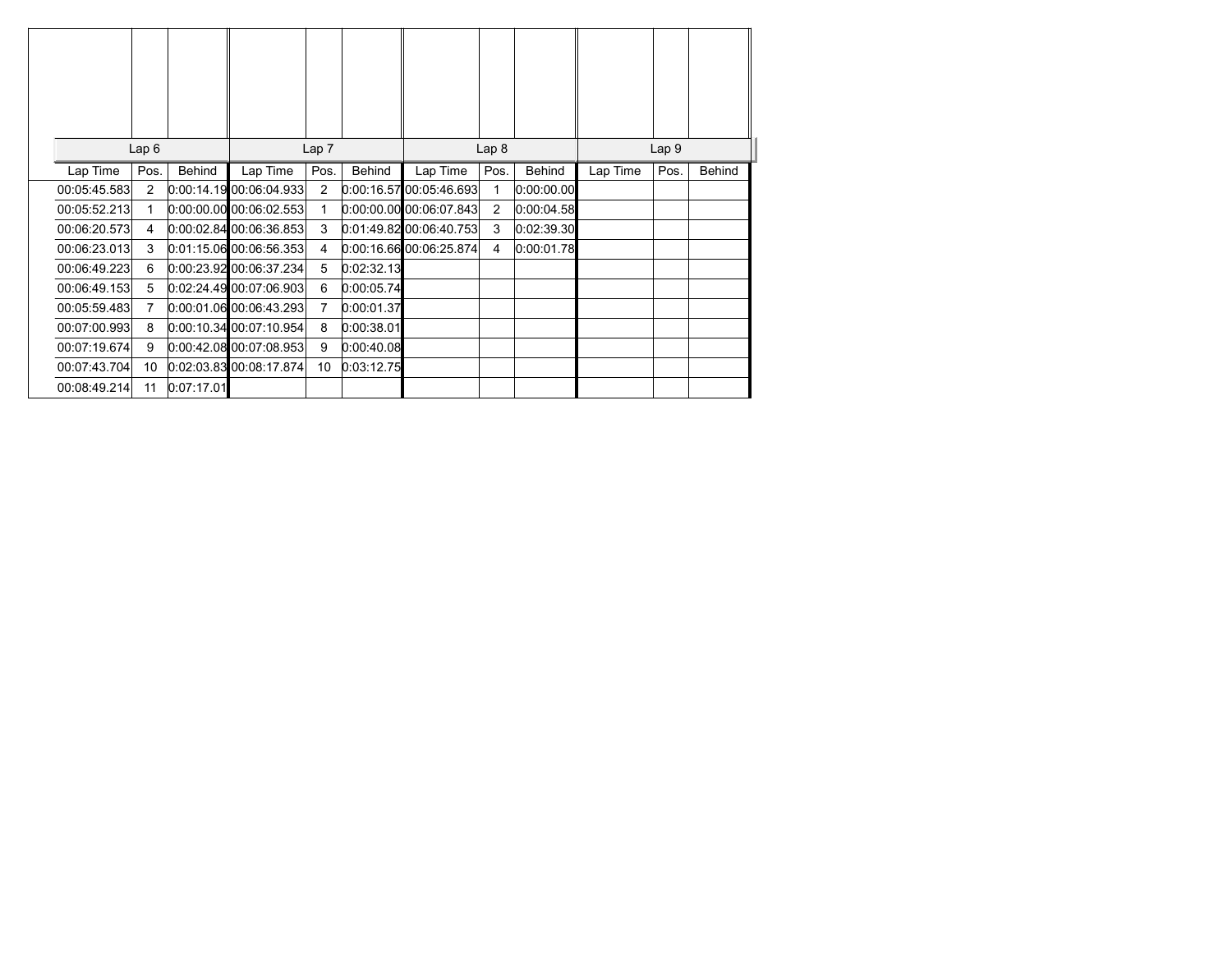|              | Lap6           |            |                           | Lap 7 |            |                           | Lap 8 |            |          | Lap 9 |               |
|--------------|----------------|------------|---------------------------|-------|------------|---------------------------|-------|------------|----------|-------|---------------|
| Lap Time     | Pos.           | Behind     | Lap Time                  | Pos.  | Behind     | Lap Time                  | Pos.  | Behind     | Lap Time | Pos.  | <b>Behind</b> |
| 00:05:45.583 | $\overline{2}$ |            | 0.00.14.19 00.06.04.933   | 2     |            | 0:00:16.5700:05:46.693    |       | 0:00:00.00 |          |       |               |
| 00:05:52.213 | 1.             |            | $0:00:00.00$ 00:06:02.553 | 1     |            | $0.00.00.00$ 00:06:07.843 | 2     | 0:00:04.58 |          |       |               |
| 00:06:20.573 | 4              |            | 0.00.02.84 00.06.36.853   | 3     |            | 0.01.49.82 00.06.40.753   | 3     | 0:02:39.30 |          |       |               |
| 00:06:23.013 | 3              |            | 0.01:15.06000:06:56.353   | 4     |            | 0:00:16.66 00:06:25.874   | 4     | 0:00:01.78 |          |       |               |
| 00:06:49.223 | 6              |            | 0.00.23.92 00.06.37.234   | 5     | 0:02:32.13 |                           |       |            |          |       |               |
| 00:06:49.153 | 5              |            | 0.02.24.49 00.07.06.903   | 6     | 0:00:05.74 |                           |       |            |          |       |               |
| 00:05:59.483 | $\overline{7}$ |            | 0.00.01.06 00.06.43.293   | 7     | 0:00:01.37 |                           |       |            |          |       |               |
| 00:07:00.993 | 8              |            | $0:00:10.34$ 00:07:10.954 | 8     | 0:00:38.01 |                           |       |            |          |       |               |
| 00:07:19.674 | 9              |            | 0.00.42.08 00.07.08.953   | 9     | 0:00:40.08 |                           |       |            |          |       |               |
| 00:07:43.704 | 10             |            | 0.02.03.83 00.0817.874    | 10    | 0:03:12.75 |                           |       |            |          |       |               |
| 00:08:49.214 | 11             | 0:07:17.01 |                           |       |            |                           |       |            |          |       |               |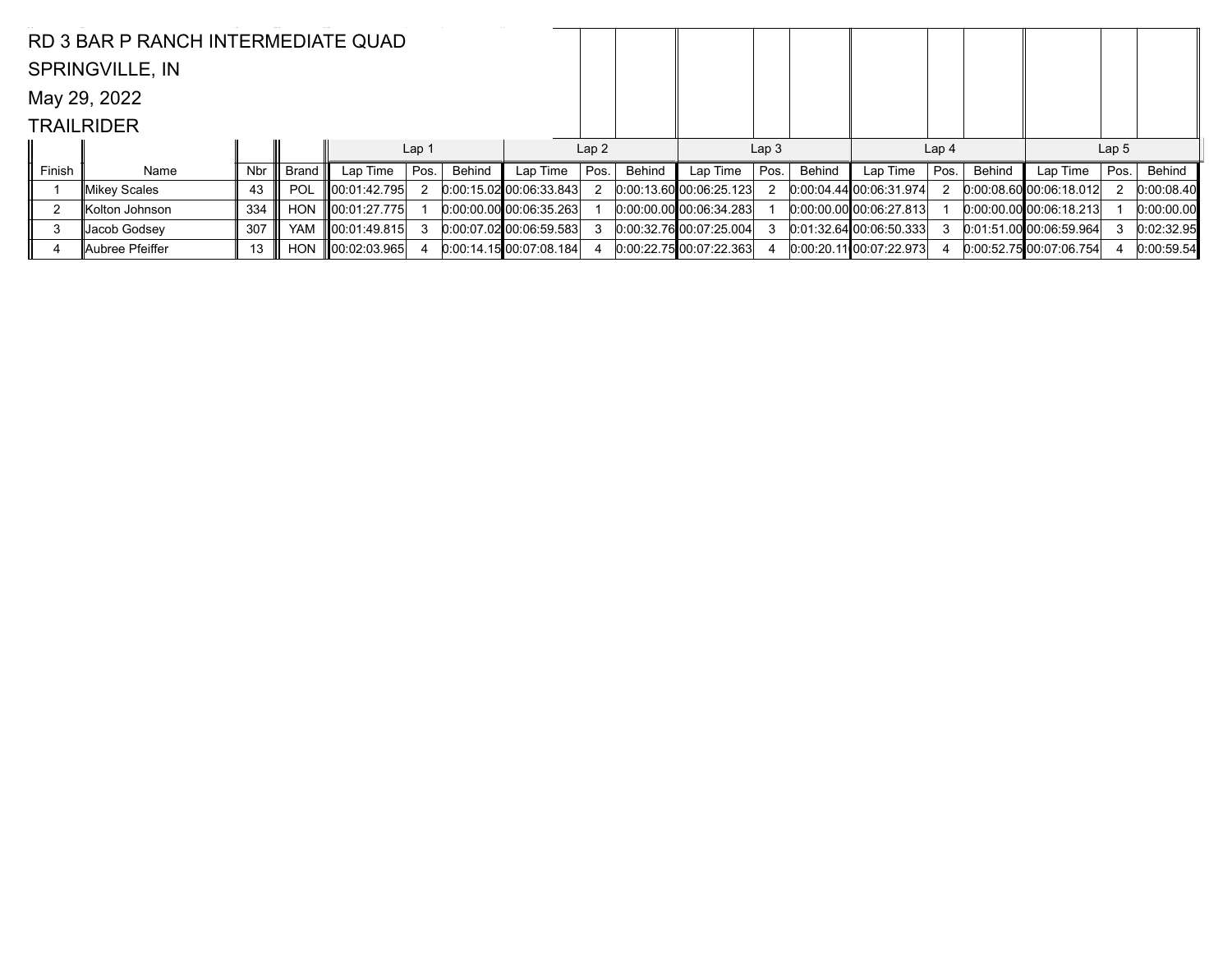|                   | RD 3 BAR P RANCH INTERMEDIATE QUAD |     |            |                    |                  |        |                           |      |        |                             |                  |        |                           |                  |        |                                 |                  |            |
|-------------------|------------------------------------|-----|------------|--------------------|------------------|--------|---------------------------|------|--------|-----------------------------|------------------|--------|---------------------------|------------------|--------|---------------------------------|------------------|------------|
|                   | <b>SPRINGVILLE, IN</b>             |     |            |                    |                  |        |                           |      |        |                             |                  |        |                           |                  |        |                                 |                  |            |
|                   | May 29, 2022                       |     |            |                    |                  |        |                           |      |        |                             |                  |        |                           |                  |        |                                 |                  |            |
| <b>TRAILRIDER</b> |                                    |     |            |                    |                  |        |                           |      |        |                             |                  |        |                           |                  |        |                                 |                  |            |
|                   |                                    |     |            |                    | Lap <sub>1</sub> |        |                           | Lap2 |        |                             | Lap <sub>3</sub> |        |                           | Lap <sub>4</sub> |        |                                 | Lap <sub>5</sub> |            |
| Finish            | Name                               | Nbr | Brand      | Lap Time           | Pos.             | Behind | Lap Time                  | Pos. | Behind | Lap Time                    | Pos.             | Behind | Lap Time                  | Pos.             | Behind | Lap Time                        | Pos.             | Behind     |
|                   | ∥Mikey Scales                      | 43  | <b>POL</b> | $\ 00:01:42.795\ $ |                  |        | $0:00:15.02$ 00:06:33.843 |      |        | 0.00:13.60 00:06:25.123     |                  |        | 0.00.04.44 00.06.31.974   |                  |        | $[0:00:08.60]$ $[00:06:18.012]$ |                  | 0:00:08.40 |
|                   | Kolton Johnson                     | 334 | <b>HON</b> | $\ 00:01:27.775\ $ |                  |        | 0.00.00.00 00.06.35.263   |      |        | 0.00.00.00 00.06.34.283     |                  |        | 0.00.00.0000000627.813    |                  |        | $[0.00.00.00]$ 00:06:18.213     |                  | 0:00:00.00 |
| 3                 | Jacob Godsev                       | 307 | <b>YAM</b> | $\ 00:01:49.815\ $ |                  |        | 0.00.07.02 00.06.59.583   |      |        | $[0:00:32.76]$ 00:07:25.004 |                  |        | $0.01:32.64$ 00:06:50.333 |                  |        | 0.01:51.00000:06:59.964         |                  | 0:02:32.95 |
| 4                 | Aubree Pfeiffer                    | 13  | <b>HON</b> | $\ 00:02:03.965\ $ |                  |        | 0:00:14.15[00:07:08.184]  |      |        | $[0:00:22.75]$ 00:07:22.363 |                  |        | $0.00:20.11$ 00:07:22.973 |                  |        | 0.00:52.7500:07:06.754          |                  | 0:00:59.54 |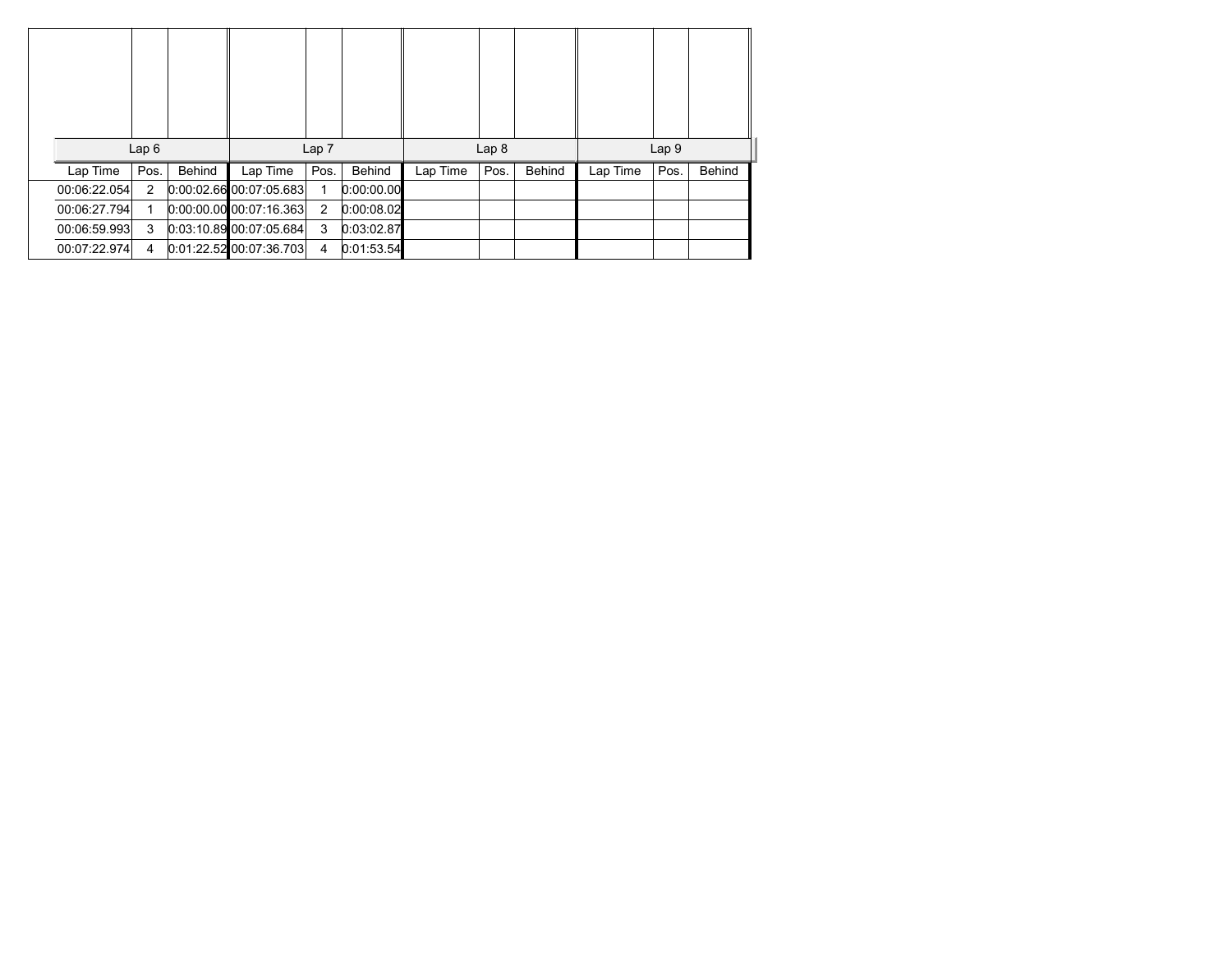|              | Lap6 |               |                           | Lap <sub>7</sub> |               |          | Lap <sub>8</sub> |               |          | Lap 9 |        |
|--------------|------|---------------|---------------------------|------------------|---------------|----------|------------------|---------------|----------|-------|--------|
| Lap Time     | Pos. | <b>Behind</b> | Lap Time                  | Pos.             | <b>Behind</b> | Lap Time | Pos.             | <b>Behind</b> | Lap Time | Pos.  | Behind |
| 00:06:22.054 | 2    |               | $0:00:02.66$ 00:07:05.683 |                  | 0.00:00.00    |          |                  |               |          |       |        |
| 00:06:27.794 | 1    |               | $0:00:00.00$ 00:07:16.363 | 2                | 0:00:08.02    |          |                  |               |          |       |        |
| 00:06:59.993 | 3    |               | 0.03:10.8900:07:05.684    | 3                | 0:03:02.87    |          |                  |               |          |       |        |
| 00:07:22.974 | 4    |               | $0:01:22.52$ 00:07:36.703 | 4                | 0:01:53.54    |          |                  |               |          |       |        |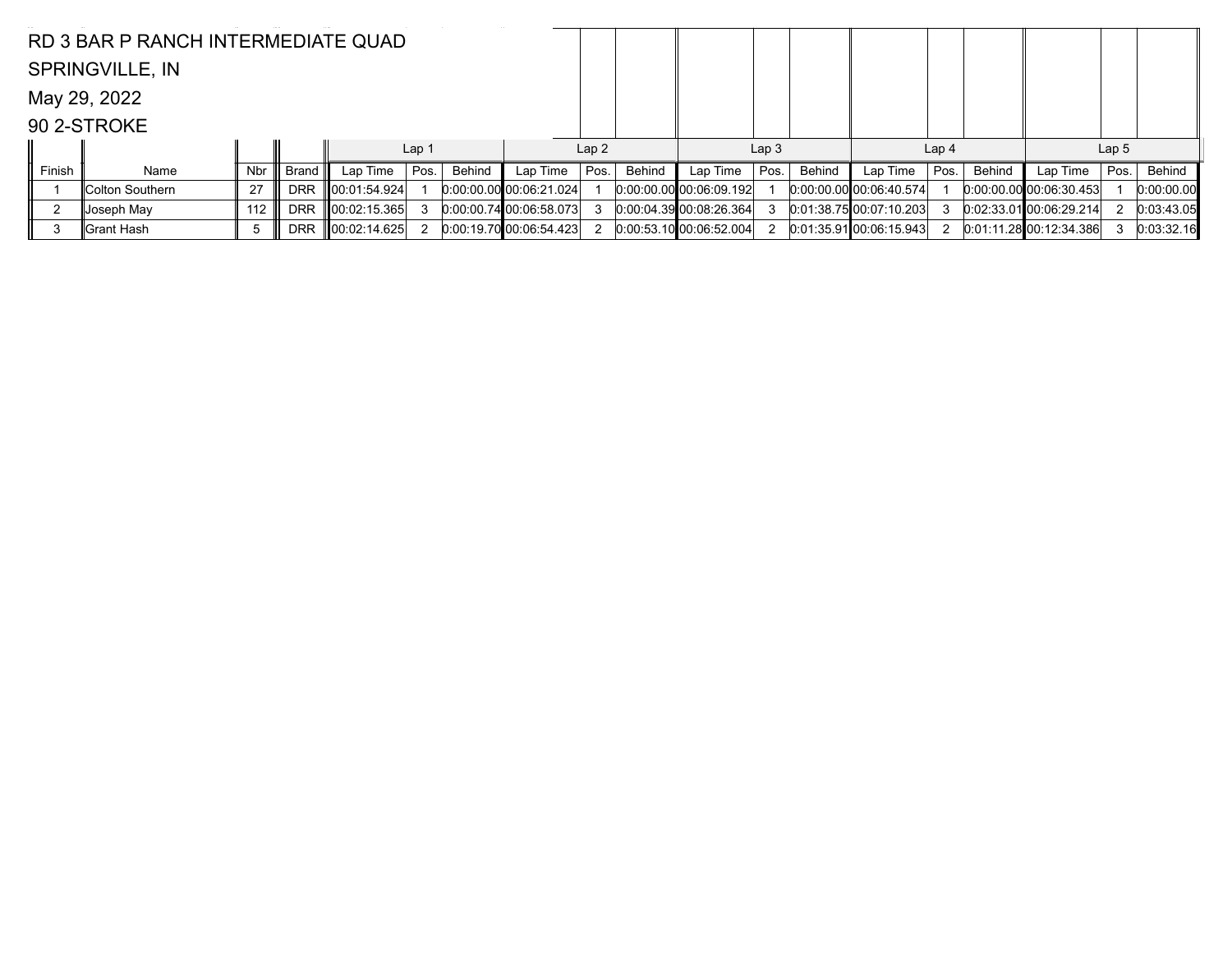|        | RD 3 BAR P RANCH INTERMEDIATE QUAD |     |            |                    |                  |        |                         |      |        |                                 |                  |        |                           |                  |        |                             |                  |            |
|--------|------------------------------------|-----|------------|--------------------|------------------|--------|-------------------------|------|--------|---------------------------------|------------------|--------|---------------------------|------------------|--------|-----------------------------|------------------|------------|
|        | <b>SPRINGVILLE, IN</b>             |     |            |                    |                  |        |                         |      |        |                                 |                  |        |                           |                  |        |                             |                  |            |
|        | May 29, 2022                       |     |            |                    |                  |        |                         |      |        |                                 |                  |        |                           |                  |        |                             |                  |            |
|        | 90 2-STROKE                        |     |            |                    |                  |        |                         |      |        |                                 |                  |        |                           |                  |        |                             |                  |            |
|        |                                    |     |            |                    | Lap <sub>1</sub> |        |                         | Lap2 |        |                                 | Lap <sub>3</sub> |        |                           | Lap <sub>4</sub> |        |                             | Lap <sub>5</sub> |            |
| Finish | Name                               | Nbr | Brand      | Lap Time $ Pos$ .  |                  | Behind | Lap Time                | Pos. | Behind | Lap Time                        | Pos.             | Behind | Lap Time                  | Pos.             | Behind | Lap Time                    | Pos.             | Behind     |
|        | ∥Colton Southern                   | 27  | <b>DRR</b> | $\ 00:01:54.924\ $ |                  |        | 0:00:00.00 00:06:21.024 |      |        | $[0:00:00.00]$ $[00:06:09.192]$ |                  |        | 0:00:00.00 00:06:40.574   |                  |        | $[0.00:00.00]$ 00:06:30.453 |                  | 0:00:00.00 |
|        | Joseph May                         | 112 | <b>DRR</b> | $\ 00:02:15.365\ $ |                  |        | 0.00.00.74 00.06.58.073 |      |        | 0:00:04.39 00:08:26.364         |                  |        | 0.01.38.7500.0710.203     |                  |        | $0.02:33.01$ 00:06:29.214   |                  | 0:03:43.05 |
| 3      | ∥Grant Hash                        | 5   | <b>DRR</b> | $\ 00:02:14.625\ $ |                  |        | 0.00.19.70 00.06.54.423 |      |        | $0:00:53.10$ 00:06:52.004       |                  |        | $0:01:35.91$ 00:06:15.943 |                  |        | $[0.01:11.28]$ 00:12:34.386 |                  | 0:03:32.16 |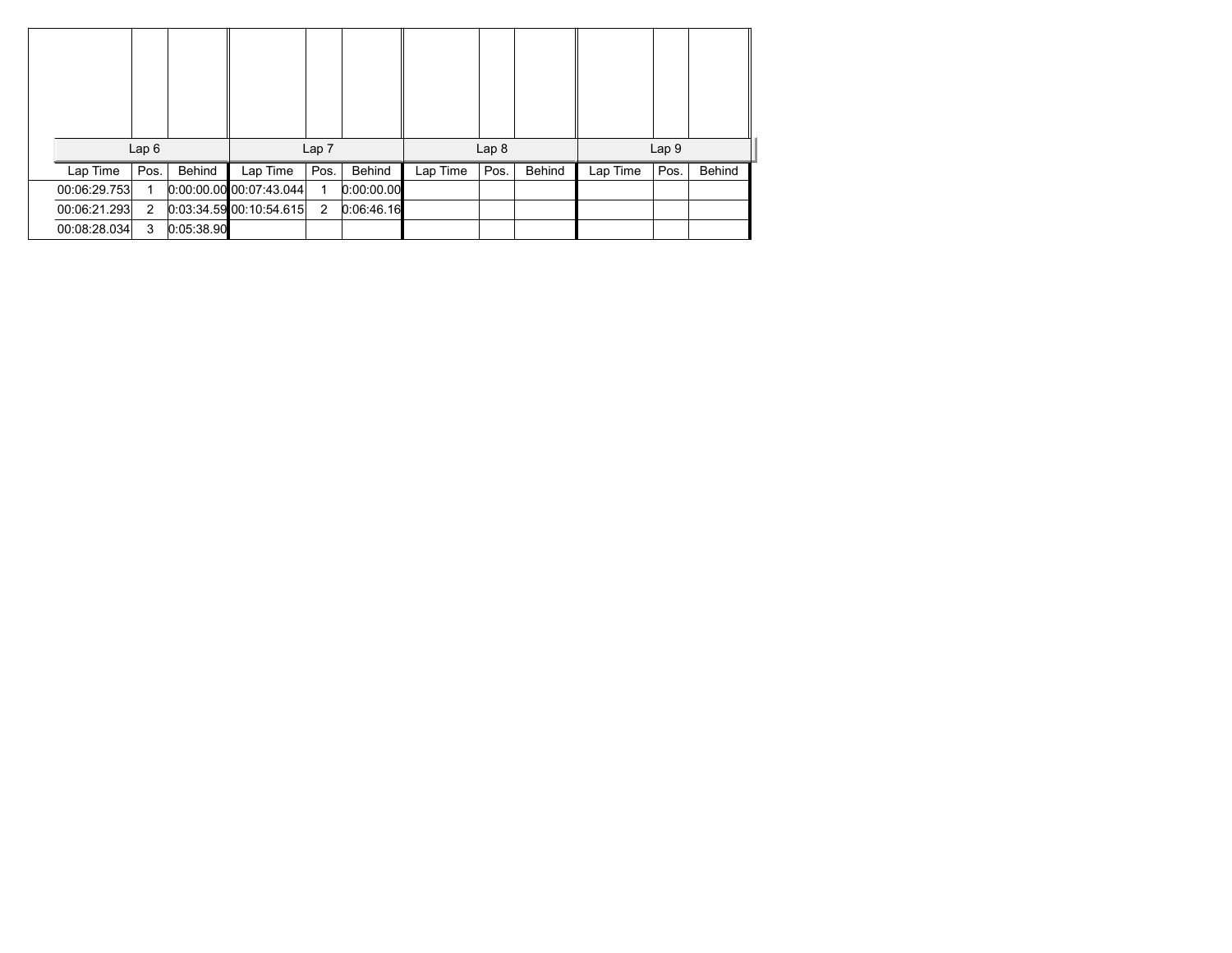|              | Lap6 |            |                             | Lap <sub>7</sub> |            |          | Lap <sub>8</sub> |        |          | Lap 9 |        |
|--------------|------|------------|-----------------------------|------------------|------------|----------|------------------|--------|----------|-------|--------|
| Lap Time     | Pos. | Behind     | Lap Time                    | Pos.             | Behind     | Lap Time | Pos.             | Behind | Lap Time | Pos.  | Behind |
| 00:06:29.753 | 1    |            | $[0.00.00.00]$ 00:07:43.044 |                  | 0:00:00.00 |          |                  |        |          |       |        |
| 00:06:21.293 | 2    |            | 0.03.34.59 00.10.54.615     | 2                | 0.06:46.16 |          |                  |        |          |       |        |
| 00:08:28.034 | 3    | 0:05:38.90 |                             |                  |            |          |                  |        |          |       |        |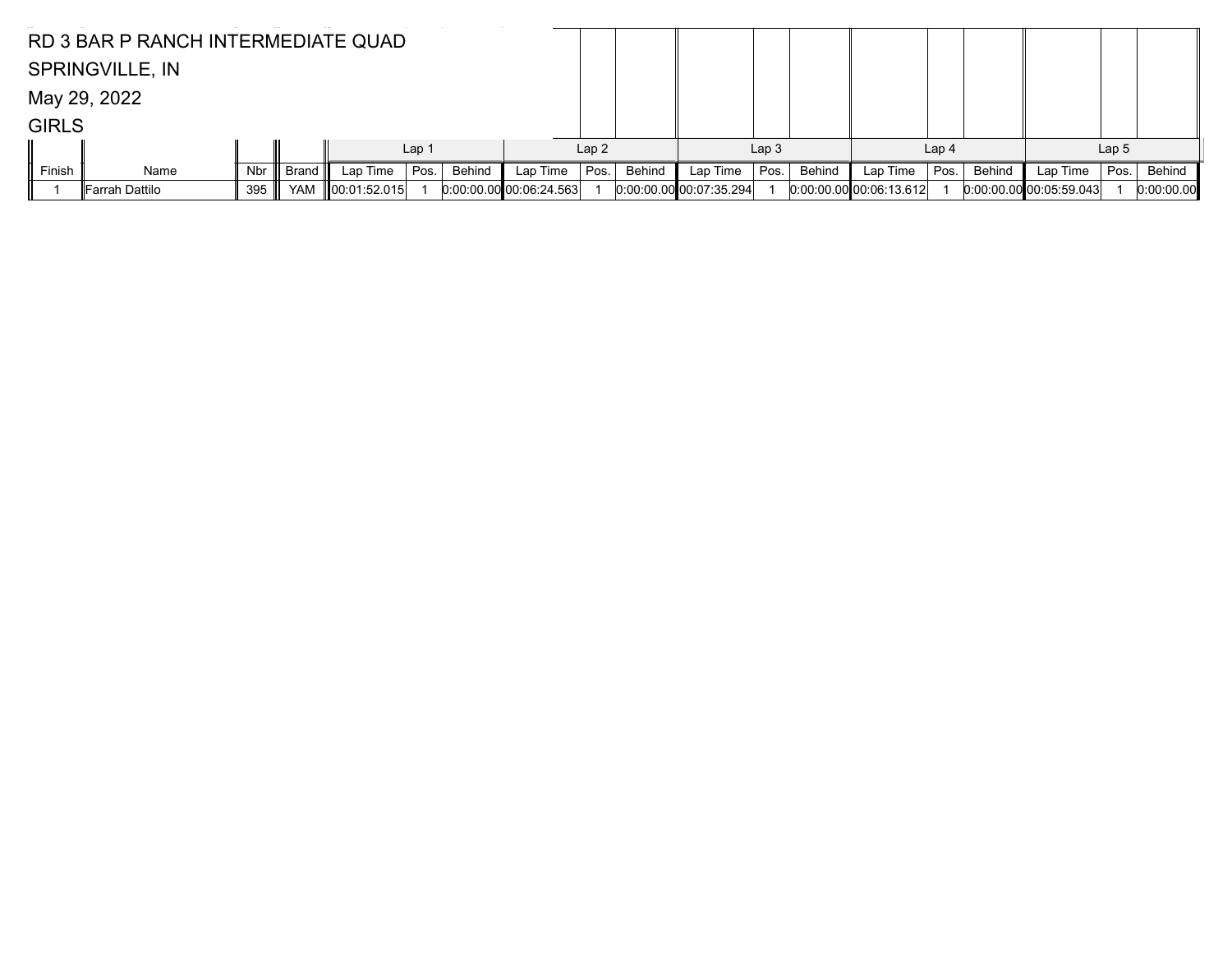|              | RD 3 BAR P RANCH INTERMEDIATE QUAD |     |            |                    |                  |        |                         |      |        |                           |      |                  |                        |      |                  |                         |      |            |
|--------------|------------------------------------|-----|------------|--------------------|------------------|--------|-------------------------|------|--------|---------------------------|------|------------------|------------------------|------|------------------|-------------------------|------|------------|
|              | <b>SPRINGVILLE, IN</b>             |     |            |                    |                  |        |                         |      |        |                           |      |                  |                        |      |                  |                         |      |            |
|              | May 29, 2022                       |     |            |                    |                  |        |                         |      |        |                           |      |                  |                        |      |                  |                         |      |            |
| <b>GIRLS</b> |                                    |     |            |                    |                  |        |                         |      |        |                           |      |                  |                        |      |                  |                         |      |            |
|              |                                    |     |            |                    | Lap <sub>1</sub> |        |                         |      |        | Lap <sub>3</sub>          |      | Lap <sub>4</sub> |                        |      | Lap <sub>5</sub> |                         |      |            |
| Finish       | Name                               | Nbr | Brand      | Lap Time           | Pos.             | Behind | Lap Time                | Pos. | Behind | Lap Time                  | Pos. | Behind           | Lap Time               | Pos. | <b>Behind</b>    | Lap Time                | Pos. | Behind     |
|              | ∥Farrah Dattilo                    | 395 | <b>YAM</b> | $\ 00:01:52.015\ $ |                  |        | 0.00.00.00 00.06.24.563 |      |        | $0:00:00.00$ 00:07:35.294 |      |                  | 0.00.00.0000000613.612 |      |                  | 0.00.00.00000005.59.043 |      | 0:00:00.00 |